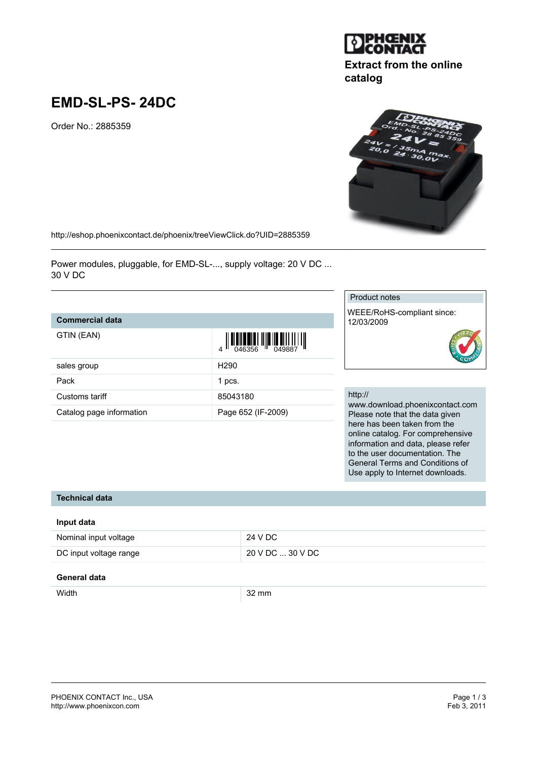# **EMD-SL-PS- 24DC**

Order No.: 2885359

<http://eshop.phoenixcontact.de/phoenix/treeViewClick.do?UID=2885359>

Power modules, pluggable, for EMD-SL-..., supply voltage: 20 V DC ... 30 V DC

## **Commercial data**

| GTIN (EAN) |
|------------|

| sales group              | H <sub>290</sub>   |
|--------------------------|--------------------|
| Pack                     | 1 pcs.             |
| Customs tariff           | 85043180           |
| Catalog page information | Page 652 (IF-2009) |

### Product notes

WEEE/RoHS-compliant since: 12/03/2009

#### http://

www.download.phoenixcontact.com Please note that the data given here has been taken from the online catalog. For comprehensive information and data, please refer to the user documentation. The General Terms and Conditions of Use apply to Internet downloads.

## **Technical data**

| Input data             |                  |
|------------------------|------------------|
| Nominal input voltage  | 24 V DC          |
| DC input voltage range | 20 V DC  30 V DC |

## **General data**

| <b>Midtl</b> | 32 MM |
|--------------|-------|
|--------------|-------|





**Extract from the online**

**catalog**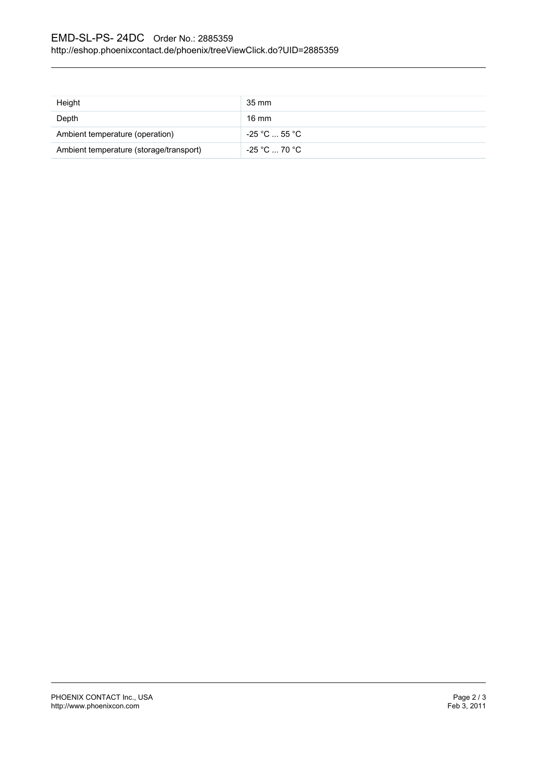| Height                                  | 35 mm         |
|-----------------------------------------|---------------|
| Depth                                   | 16 mm         |
| Ambient temperature (operation)         | -25 °C  55 °C |
| Ambient temperature (storage/transport) | -25 °C  70 °C |